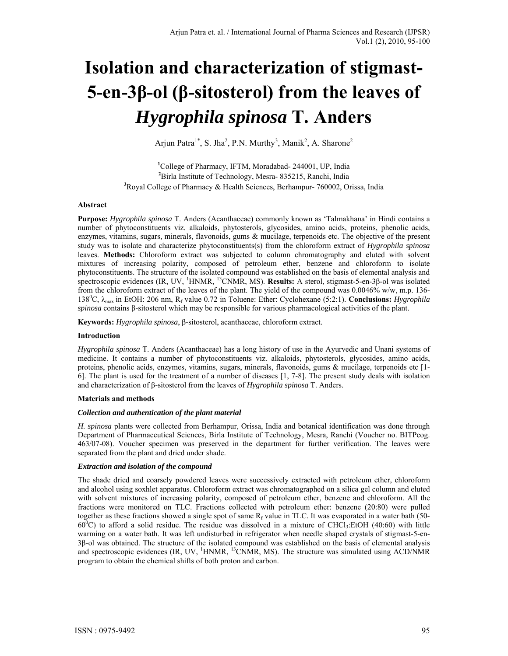# **Isolation and characterization of stigmast-5-en-3β-ol (β-sitosterol) from the leaves of**  *Hygrophila spinosa* **T. Anders**

Arjun Patra<sup>1\*</sup>, S. Jha<sup>2</sup>, P.N. Murthy<sup>3</sup>, Manik<sup>2</sup>, A. Sharone<sup>2</sup>

**1** College of Pharmacy, IFTM, Moradabad- 244001, UP, India **2** Birla Institute of Technology, Mesra- 835215, Ranchi, India **3** Royal College of Pharmacy & Health Sciences, Berhampur- 760002, Orissa, India

## **Abstract**

**Purpose:** *Hygrophila spinosa* T. Anders (Acanthaceae) commonly known as 'Talmakhana' in Hindi contains a number of phytoconstituents viz. alkaloids, phytosterols, glycosides, amino acids, proteins, phenolic acids, enzymes, vitamins, sugars, minerals, flavonoids, gums & mucilage, terpenoids etc. The objective of the present study was to isolate and characterize phytoconstituents(s) from the chloroform extract of *Hygrophila spinosa* leaves. **Methods:** Chloroform extract was subjected to column chromatography and eluted with solvent mixtures of increasing polarity, composed of petroleum ether, benzene and chloroform to isolate phytoconstituents. The structure of the isolated compound was established on the basis of elemental analysis and spectroscopic evidences (IR, UV, <sup>1</sup> HNMR, 13CNMR, MS). **Results:** A sterol, stigmast-5-en-3β-ol was isolated from the chloroform extract of the leaves of the plant. The yield of the compound was 0.0046% w/w, m.p. 136- 138<sup>0</sup> C, λmax in EtOH: 206 nm, Rf value 0.72 in Toluene: Ether: Cyclohexane (5:2:1). **Conclusions:** *Hygrophila spinosa* contains β-sitosterol which may be responsible for various pharmacological activities of the plant.

**Keywords:** *Hygrophila spinosa*, β-sitosterol, acanthaceae, chloroform extract.

## **Introduction**

*Hygrophila spinosa* T. Anders (Acanthaceae) has a long history of use in the Ayurvedic and Unani systems of medicine. It contains a number of phytoconstituents viz. alkaloids, phytosterols, glycosides, amino acids, proteins, phenolic acids, enzymes, vitamins, sugars, minerals, flavonoids, gums & mucilage, terpenoids etc [1- 6]. The plant is used for the treatment of a number of diseases [1, 7-8]. The present study deals with isolation and characterization of β-sitosterol from the leaves of *Hygrophila spinosa* T. Anders.

## **Materials and methods**

## *Collection and authentication of the plant material*

*H. spinosa* plants were collected from Berhampur, Orissa, India and botanical identification was done through Department of Pharmaceutical Sciences, Birla Institute of Technology, Mesra, Ranchi (Voucher no. BITPcog. 463/07-08). Voucher specimen was preserved in the department for further verification. The leaves were separated from the plant and dried under shade.

## *Extraction and isolation of the compound*

The shade dried and coarsely powdered leaves were successively extracted with petroleum ether, chloroform and alcohol using soxhlet apparatus. Chloroform extract was chromatographed on a silica gel column and eluted with solvent mixtures of increasing polarity, composed of petroleum ether, benzene and chloroform. All the fractions were monitored on TLC. Fractions collected with petroleum ether: benzene (20:80) were pulled together as these fractions showed a single spot of same  $R_f$  value in TLC. It was evaporated in a water bath (50- $60^{\circ}$ C) to afford a solid residue. The residue was dissolved in a mixture of CHCl<sub>3</sub>:EtOH (40:60) with little warming on a water bath. It was left undisturbed in refrigerator when needle shaped crystals of stigmast-5-en-3β-ol was obtained. The structure of the isolated compound was established on the basis of elemental analysis and spectroscopic evidences  $(IR, UV, {}^{1}HNMR, {}^{13}CNMR, MS)$ . The structure was simulated using ACD/NMR program to obtain the chemical shifts of both proton and carbon.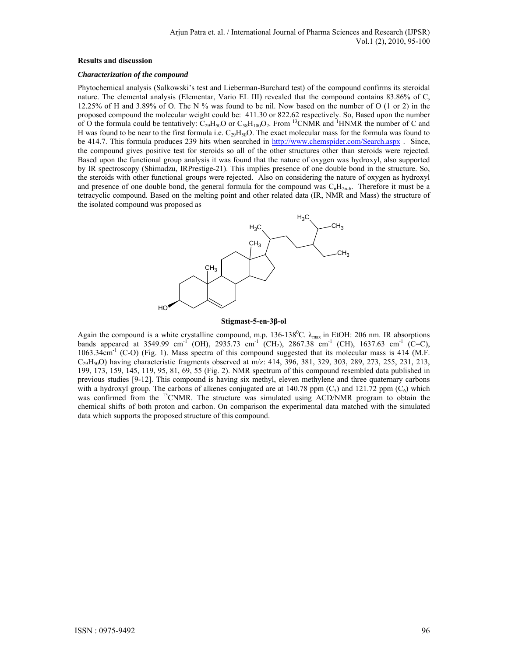### **Results and discussion**

### *Characterization of the compound*

Phytochemical analysis (Salkowski's test and Lieberman-Burchard test) of the compound confirms its steroidal nature. The elemental analysis (Elementar, Vario EL III) revealed that the compound contains 83.86% of C, 12.25% of H and 3.89% of O. The N % was found to be nil. Now based on the number of O (1 or 2) in the proposed compound the molecular weight could be: 411.30 or 822.62 respectively. So, Based upon the number of O the formula could be tentatively:  $C_{29}H_{50}O$  or  $C_{58}H_{100}O_2$ . From <sup>13</sup>CNMR and <sup>1</sup>HNMR the number of C and H was found to be near to the first formula i.e.  $C_{29}H_{50}O$ . The exact molecular mass for the formula was found to be 414.7. This formula produces 239 hits when searched in http://www.chemspider.com/Search.aspx . Since, the compound gives positive test for steroids so all of the other structures other than steroids were rejected. Based upon the functional group analysis it was found that the nature of oxygen was hydroxyl, also supported by IR spectroscopy (Shimadzu, IRPrestige-21). This implies presence of one double bond in the structure. So, the steroids with other functional groups were rejected. Also on considering the nature of oxygen as hydroxyl and presence of one double bond, the general formula for the compound was  $C_nH_{2n-6}$ . Therefore it must be a tetracyclic compound. Based on the melting point and other related data (IR, NMR and Mass) the structure of the isolated compound was proposed as



#### **Stigmast-5-en-3β-ol**

Again the compound is a white crystalline compound, m.p. 136-138<sup>0</sup>C.  $\lambda_{max}$  in EtOH: 206 nm. IR absorptions bands appeared at 3549.99 cm<sup>-1</sup> (OH), 2935.73 cm<sup>-1</sup> (CH<sub>2</sub>), 2867.38 cm<sup>-1</sup> (CH), 1637.63 cm<sup>-1</sup> (C=C), 1063.34cm<sup>-1</sup> (C-O) (Fig. 1). Mass spectra of this compound suggested that its molecular mass is 414 (M.F.  $C_{29}H_{50}O$ ) having characteristic fragments observed at m/z: 414, 396, 381, 329, 303, 289, 273, 255, 231, 213, 199, 173, 159, 145, 119, 95, 81, 69, 55 (Fig. 2). NMR spectrum of this compound resembled data published in previous studies [9-12]. This compound is having six methyl, eleven methylene and three quaternary carbons with a hydroxyl group. The carbons of alkenes conjugated are at 140.78 ppm  $(C_5)$  and 121.72 ppm  $(C_6)$  which was confirmed from the <sup>13</sup>CNMR. The structure was simulated using ACD/NMR program to obtain the chemical shifts of both proton and carbon. On comparison the experimental data matched with the simulated data which supports the proposed structure of this compound.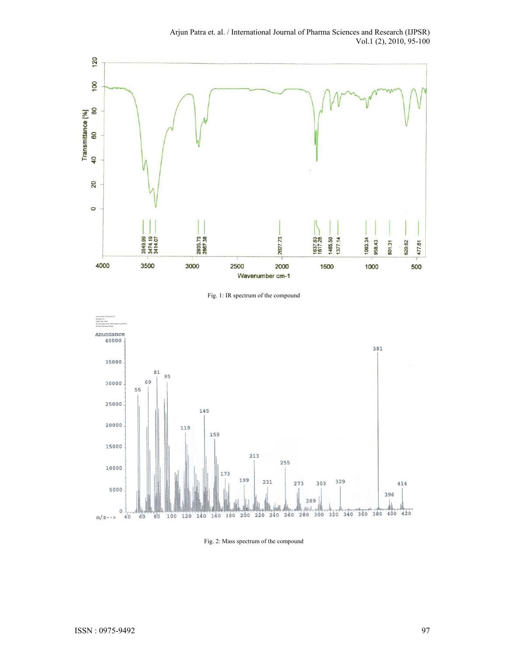

Fig. 1: IR spectrum of the compound



Fig. 2: Mass spectrum of the compound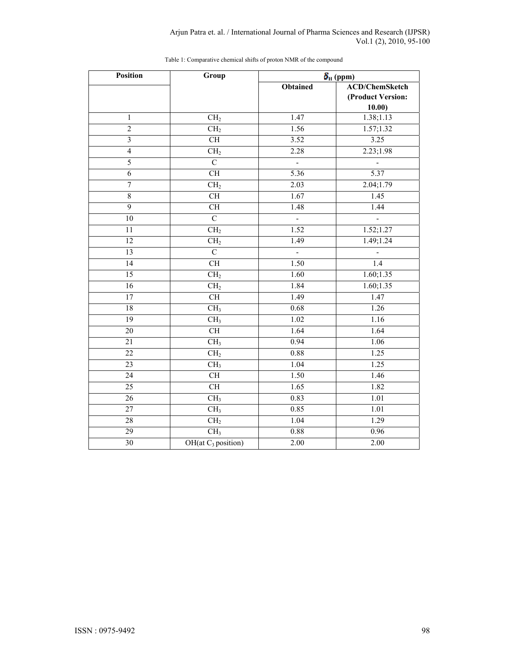| <b>Position</b>         | Group                    |                          | $\delta_{\rm H}$ (ppm)                               |
|-------------------------|--------------------------|--------------------------|------------------------------------------------------|
|                         |                          | <b>Obtained</b>          | <b>ACD/ChemSketch</b><br>(Product Version:<br>10.00) |
| $\mathbf{1}$            | CH <sub>2</sub>          | 1.47                     | 1.38;1.13                                            |
| $\overline{2}$          | CH <sub>2</sub>          | 1.56                     | 1.57;1.32                                            |
| $\overline{\mathbf{3}}$ | CH                       | 3.52                     | 3.25                                                 |
| $\overline{4}$          | CH <sub>2</sub>          | 2.28                     | 2.23;1.98                                            |
| 5                       | $\mathcal{C}$            | $\overline{\phantom{a}}$ | $\overline{\phantom{a}}$                             |
| $\overline{6}$          | CH                       | 5.36                     | 5.37                                                 |
| $\overline{7}$          | CH <sub>2</sub>          | 2.03                     | 2.04;1.79                                            |
| $\,8\,$                 | CH                       | 1.67                     | 1.45                                                 |
| $\overline{9}$          | <b>CH</b>                | $\overline{1.48}$        | 1.44                                                 |
| 10                      | $\overline{C}$           | $\overline{\phantom{a}}$ | $\overline{\phantom{a}}$                             |
| 11                      | CH <sub>2</sub>          | 1.52                     | 1.52; 1.27                                           |
| $\overline{12}$         | CH <sub>2</sub>          | 1.49                     | 1.49; 1.24                                           |
| 13                      | $\overline{C}$           | $\overline{a}$           |                                                      |
| $\overline{14}$         | CH                       | 1.50                     | 1.4                                                  |
| $\overline{15}$         | CH <sub>2</sub>          | 1.60                     | 1.60; 1.35                                           |
| $\overline{16}$         | CH <sub>2</sub>          | 1.84                     | 1.60; 1.35                                           |
| $\overline{17}$         | $\overline{\text{CH}}$   | 1.49                     | 1.47                                                 |
| $\overline{18}$         | CH <sub>3</sub>          | 0.68                     | $\overline{1.26}$                                    |
| $\overline{19}$         | CH <sub>3</sub>          | 1.02                     | 1.16                                                 |
| 20                      | CH                       | 1.64                     | 1.64                                                 |
| $\overline{21}$         | CH <sub>3</sub>          | 0.94                     | 1.06                                                 |
| $\overline{22}$         | CH <sub>2</sub>          | 0.88                     | 1.25                                                 |
| $\overline{23}$         | $\overline{\text{CH}}_3$ | $\overline{1.04}$        | 1.25                                                 |
| $\overline{24}$         | CH                       | 1.50                     | 1.46                                                 |
| 25                      | <b>CH</b>                | 1.65                     | 1.82                                                 |
| 26                      | CH <sub>3</sub>          | 0.83                     | 1.01                                                 |
| $\overline{27}$         | CH <sub>3</sub>          | 0.85                     | 1.01                                                 |
| 28                      | CH <sub>2</sub>          | 1.04                     | $\overline{1.29}$                                    |
| $\overline{29}$         | CH <sub>3</sub>          | 0.88                     | 0.96                                                 |
| $\overline{30}$         | OH(at $C_3$ position)    | 2.00                     | 2.00                                                 |

Table 1: Comparative chemical shifts of proton NMR of the compound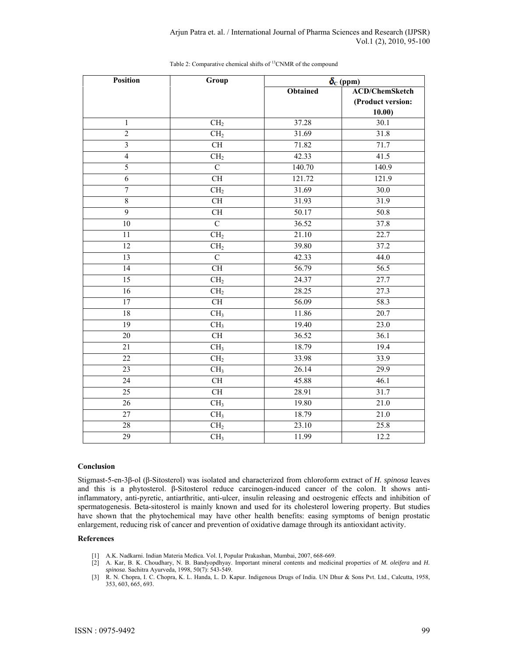| <b>Position</b>         | Group                  | $\delta_{\rm C}$ (ppm) |                       |
|-------------------------|------------------------|------------------------|-----------------------|
|                         |                        | <b>Obtained</b>        | <b>ACD/ChemSketch</b> |
|                         |                        |                        | (Product version:     |
|                         |                        |                        | 10.00)                |
| $\mathbf{1}$            | CH <sub>2</sub>        | 37.28                  | 30.1                  |
| $\overline{2}$          | CH <sub>2</sub>        | 31.69                  | 31.8                  |
| $\overline{\mathbf{3}}$ | $\overline{\text{CH}}$ | 71.82                  | 71.7                  |
| $\overline{4}$          | CH <sub>2</sub>        | 42.33                  | 41.5                  |
| 5                       | $\overline{C}$         | 140.70                 | 140.9                 |
| $\overline{6}$          | $\overline{\text{CH}}$ | 121.72                 | 121.9                 |
| $\overline{7}$          | CH <sub>2</sub>        | 31.69                  | 30.0                  |
| $\overline{8}$          | $\overline{\text{CH}}$ | 31.93                  | 31.9                  |
| $\overline{9}$          | <b>CH</b>              | 50.17                  | 50.8                  |
| $\overline{10}$         | $\overline{C}$         | 36.52                  | 37.8                  |
| $\overline{11}$         | CH <sub>2</sub>        | 21.10                  | 22.7                  |
| 12                      | CH <sub>2</sub>        | 39.80                  | 37.2                  |
| 13                      | $\overline{C}$         | 42.33                  | 44.0                  |
| 14                      | $\overline{\text{CH}}$ | 56.79                  | 56.5                  |
| $\overline{15}$         | CH <sub>2</sub>        | 24.37                  | 27.7                  |
| $\overline{16}$         | CH <sub>2</sub>        | 28.25                  | $\overline{27.3}$     |
| 17                      | <b>CH</b>              | 56.09                  | 58.3                  |
| 18                      | CH <sub>3</sub>        | 11.86                  | 20.7                  |
| 19                      | CH <sub>3</sub>        | 19.40                  | 23.0                  |
| 20                      | CH                     | 36.52                  | 36.1                  |
| 21                      | CH <sub>3</sub>        | 18.79                  | 19.4                  |
| $\overline{22}$         | CH <sub>2</sub>        | 33.98                  | 33.9                  |
| $\overline{23}$         | CH <sub>3</sub>        | 26.14                  | 29.9                  |
| $\overline{24}$         | $\overline{\text{CH}}$ | 45.88                  | 46.1                  |
| $\overline{25}$         | $\overline{\text{CH}}$ | 28.91                  | 31.7                  |
| 26                      | CH <sub>3</sub>        | 19.80                  | 21.0                  |
| 27                      | CH <sub>3</sub>        | 18.79                  | 21.0                  |
| 28                      | CH <sub>2</sub>        | 23.10                  | 25.8                  |
| $\overline{29}$         | CH <sub>3</sub>        | 11.99                  | 12.2                  |

## Table 2: Comparative chemical shifts of <sup>13</sup>CNMR of the compound

### **Conclusion**

Stigmast-5-en-3β-ol (β-Sitosterol) was isolated and characterized from chloroform extract of *H. spinosa* leaves and this is a phytosterol. β-Sitosterol reduce carcinogen-induced cancer of the colon. It shows antiinflammatory, anti-pyretic, antiarthritic, anti-ulcer, insulin releasing and oestrogenic effects and inhibition of spermatogenesis. Beta-sitosterol is mainly known and used for its cholesterol lowering property. But studies have shown that the phytochemical may have other health benefits: easing symptoms of benign prostatic enlargement, reducing risk of cancer and prevention of oxidative damage through its antioxidant activity.

### **References**

- [1] A.K. Nadkarni. Indian Materia Medica. Vol. I, Popular Prakashan, Mumbai, 2007, 668-669.
- [2] A. Kar, B. K. Choudhary, N. B. Bandyopdhyay. Important mineral contents and medicinal properties of *M. oleifera* and *H. spinosa*. Sachitra Ayurveda, 1998, 50(7): 543-549.
- [3] R. N. Chopra, I. C. Chopra, K. L. Handa, L. D. Kapur. Indigenous Drugs of India. UN Dhur & Sons Pvt. Ltd., Calcutta, 1958, 353, 603, 665, 693.